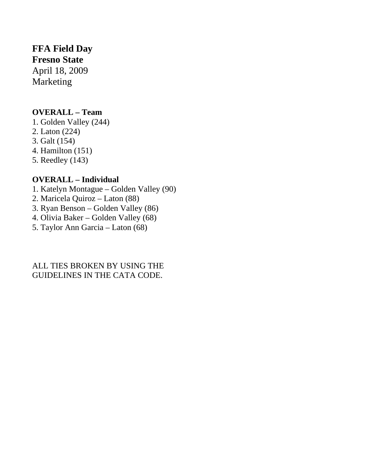# **FFA Field Day**

**Fresno State** 

April 18, 2009 Marketing

### **OVERALL – Team**

1. Golden Valley (244)

- 2. Laton (224)
- 3. Galt (154)
- 4. Hamilton (151)
- 5. Reedley (143)

### **OVERALL – Individual**

- 1. Katelyn Montague Golden Valley (90)
- 2. Maricela Quiroz Laton (88)
- 3. Ryan Benson Golden Valley (86)
- 4. Olivia Baker Golden Valley (68)
- 5. Taylor Ann Garcia Laton (68)

#### ALL TIES BROKEN BY USING THE GUIDELINES IN THE CATA CODE.